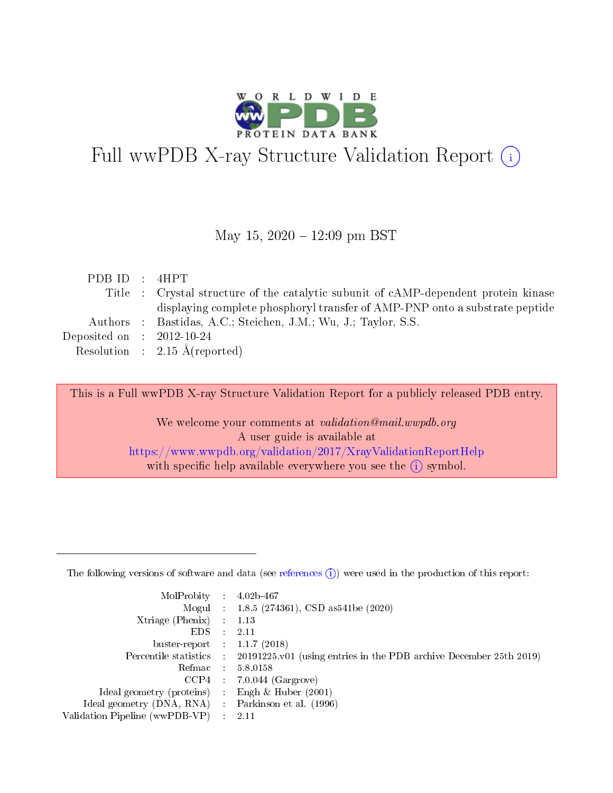

# Full wwPDB X-ray Structure Validation Report (i)

#### May 15,  $2020 - 12:09$  pm BST

| PDBID : 4HPT                |                                                                                     |
|-----------------------------|-------------------------------------------------------------------------------------|
|                             | Title : Crystal structure of the catalytic subunit of cAMP-dependent protein kinase |
|                             | displaying complete phosphoryl transfer of AMP-PNP onto a substrate peptide         |
|                             | Authors : Bastidas, A.C.; Steichen, J.M.; Wu, J.; Taylor, S.S.                      |
| Deposited on : $2012-10-24$ |                                                                                     |
|                             | Resolution : $2.15 \text{ Å}$ (reported)                                            |
|                             |                                                                                     |

This is a Full wwPDB X-ray Structure Validation Report for a publicly released PDB entry.

We welcome your comments at validation@mail.wwpdb.org A user guide is available at <https://www.wwpdb.org/validation/2017/XrayValidationReportHelp> with specific help available everywhere you see the  $(i)$  symbol.

The following versions of software and data (see [references](https://www.wwpdb.org/validation/2017/XrayValidationReportHelp#references)  $(1)$ ) were used in the production of this report:

| MolProbity                     | $\mathcal{L}_{\rm{max}}$ | $4.02b - 467$                                                                |
|--------------------------------|--------------------------|------------------------------------------------------------------------------|
|                                |                          | Mogul : $1.8.5$ (274361), CSD as 541be (2020)                                |
| $X$ triage (Phenix) :          |                          | 1.13                                                                         |
| EDS.                           |                          | 2.11                                                                         |
| buster-report : $1.1.7$ (2018) |                          |                                                                              |
| Percentile statistics :        |                          | $20191225 \text{ v}01$ (using entries in the PDB archive December 25th 2019) |
| Refmac                         |                          | 5.8.0158                                                                     |
| $CCP4$ :                       |                          | $7.0.044$ (Gargrove)                                                         |
| Ideal geometry (proteins) :    |                          | Engh $\&$ Huber (2001)                                                       |
| Ideal geometry (DNA, RNA) :    |                          | Parkinson et al. (1996)                                                      |
| Validation Pipeline (wwPDB-VP) | $\mathcal{L}$            | -2.11                                                                        |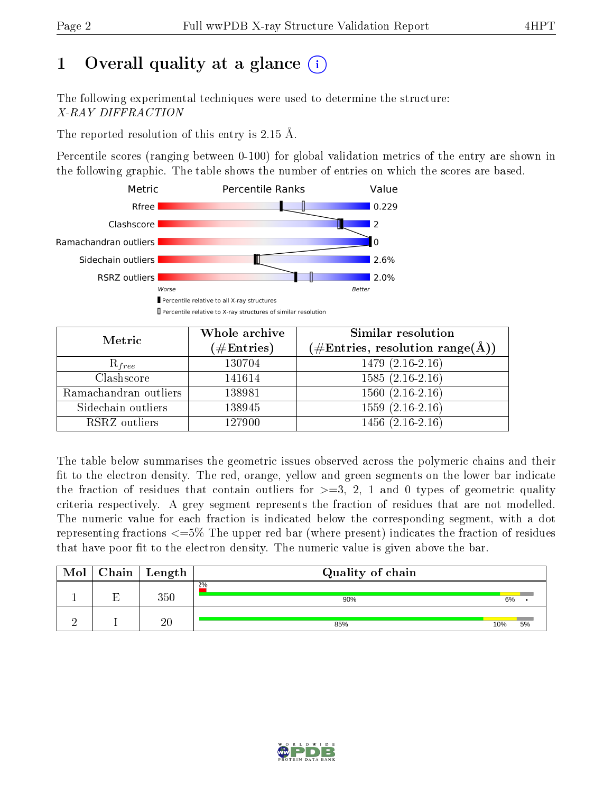# 1 [O](https://www.wwpdb.org/validation/2017/XrayValidationReportHelp#overall_quality)verall quality at a glance  $(i)$

The following experimental techniques were used to determine the structure: X-RAY DIFFRACTION

The reported resolution of this entry is 2.15 Å.

Percentile scores (ranging between 0-100) for global validation metrics of the entry are shown in the following graphic. The table shows the number of entries on which the scores are based.



| Metric                | Whole archive<br>$(\#\mathrm{Entries})$ | Similar resolution<br>$(\#\text{Entries},\,\text{resolution}\,\,\text{range}(\textup{\AA}))$ |
|-----------------------|-----------------------------------------|----------------------------------------------------------------------------------------------|
| $R_{free}$            | 130704                                  | $1479(2.16-2.16)$                                                                            |
| Clashscore            | 141614                                  | $1585(2.16-2.16)$                                                                            |
| Ramachandran outliers | 138981                                  | $1560(2.16-2.16)$                                                                            |
| Sidechain outliers    | 138945                                  | $1559(2.16-2.16)$                                                                            |
| RSRZ outliers         | 127900                                  | $1456(2.16-2.16)$                                                                            |

The table below summarises the geometric issues observed across the polymeric chains and their fit to the electron density. The red, orange, yellow and green segments on the lower bar indicate the fraction of residues that contain outliers for  $>=3, 2, 1$  and 0 types of geometric quality criteria respectively. A grey segment represents the fraction of residues that are not modelled. The numeric value for each fraction is indicated below the corresponding segment, with a dot representing fractions  $\epsilon=5\%$  The upper red bar (where present) indicates the fraction of residues that have poor fit to the electron density. The numeric value is given above the bar.

| Mol | ${\bf Chain \mid Length}$ | Quality of chain |     |    |
|-----|---------------------------|------------------|-----|----|
|     | $350\,$                   | 2%<br>90%        | 6%  |    |
|     | 20                        | 85%              | 10% | 5% |

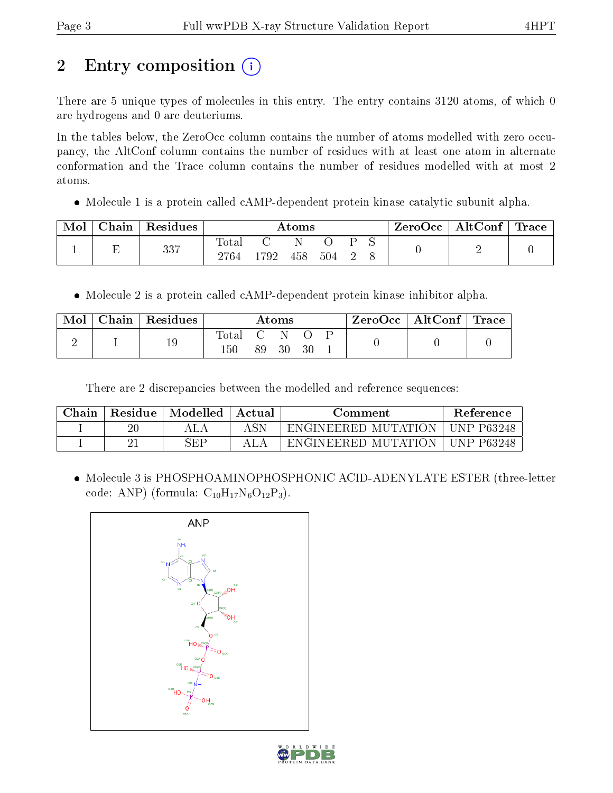# 2 Entry composition (i)

There are 5 unique types of molecules in this entry. The entry contains 3120 atoms, of which 0 are hydrogens and 0 are deuteriums.

In the tables below, the ZeroOcc column contains the number of atoms modelled with zero occupancy, the AltConf column contains the number of residues with at least one atom in alternate conformation and the Trace column contains the number of residues modelled with at most 2 atoms.

• Molecule 1 is a protein called cAMP-dependent protein kinase catalytic subunit alpha.

| Mol | Chain | Residues |               |      | Atoms |     |  | $\text{ZeroOcc}$   AltConf   Trace |  |
|-----|-------|----------|---------------|------|-------|-----|--|------------------------------------|--|
|     |       | 337      | Total<br>2764 | 1792 | 458   | 504 |  |                                    |  |

• Molecule 2 is a protein called cAMP-dependent protein kinase inhibitor alpha.

| Mol | Chain   Residues |             |     | Atoms |    | $\text{ZeroOcc} \mid \text{AltConf} \mid \text{Trace}$ |  |
|-----|------------------|-------------|-----|-------|----|--------------------------------------------------------|--|
|     | 19               | $\rm Total$ |     |       |    |                                                        |  |
|     |                  | 150         | 89. | 30    | 30 |                                                        |  |

There are 2 discrepancies between the modelled and reference sequences:

| Chain | Residue | Modelled | Actual | Comment.                      | <b>Reference</b>   |
|-------|---------|----------|--------|-------------------------------|--------------------|
|       | $20\,$  |          |        | -ENGINEERED MUTATION-         | UNP P63248         |
|       |         | SEP      |        | MUTATION<br><b>ENGINEERED</b> | <b>IINP P63248</b> |

 Molecule 3 is PHOSPHOAMINOPHOSPHONIC ACID-ADENYLATE ESTER (three-letter code: ANP) (formula:  $C_{10}H_{17}N_6O_{12}P_3$ ).



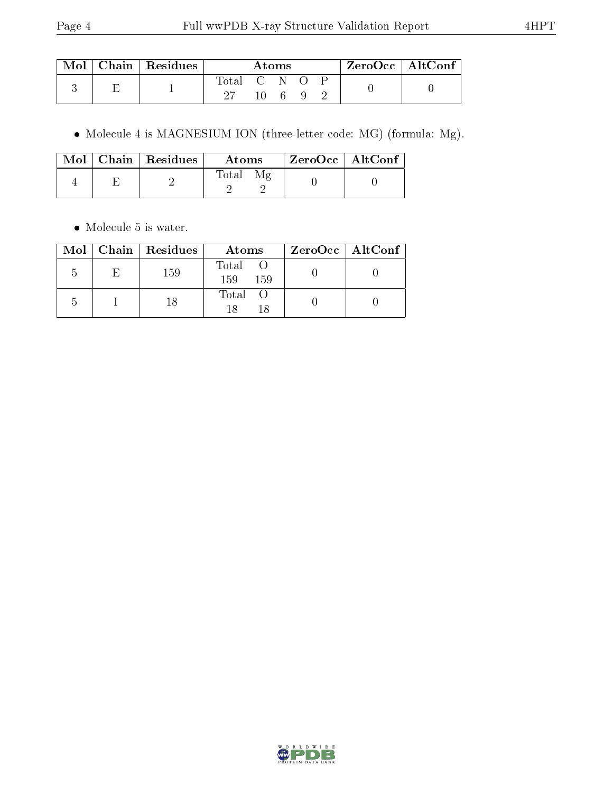| Mol | $\perp$ Chain   Residues $\perp$ |       |                | Atoms |  | $^{\prime}$ ZeroOcc $\mid$ AltConf $^{\prime}$ |  |
|-----|----------------------------------|-------|----------------|-------|--|------------------------------------------------|--|
|     |                                  | Total | - C N O<br>10. |       |  |                                                |  |

Molecule 4 is MAGNESIUM ION (three-letter code: MG) (formula: Mg).

|  | $Mol$   Chain   Residues | Atoms | $ZeroOcc$   AltConf |  |
|--|--------------------------|-------|---------------------|--|
|  |                          | Total |                     |  |

• Molecule 5 is water.

|               |    | Mol   Chain   Residues | Atoms                 | $ZeroOcc \   \$ AltConf |
|---------------|----|------------------------|-----------------------|-------------------------|
| $\mathcal{L}$ | E. | 159                    | Total O<br>159<br>159 |                         |
|               |    | 18                     | Total<br>18           |                         |

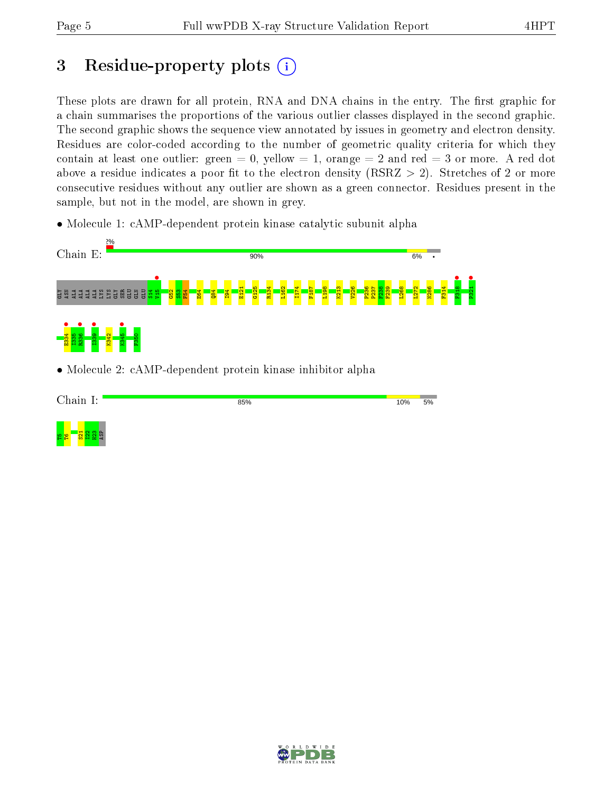<mark>ខ ខ ន</mark>ីងនី

ASP

# 3 Residue-property plots  $(i)$

These plots are drawn for all protein, RNA and DNA chains in the entry. The first graphic for a chain summarises the proportions of the various outlier classes displayed in the second graphic. The second graphic shows the sequence view annotated by issues in geometry and electron density. Residues are color-coded according to the number of geometric quality criteria for which they contain at least one outlier: green  $= 0$ , yellow  $= 1$ , orange  $= 2$  and red  $= 3$  or more. A red dot above a residue indicates a poor fit to the electron density (RSRZ  $> 2$ ). Stretches of 2 or more consecutive residues without any outlier are shown as a green connector. Residues present in the sample, but not in the model, are shown in grey.

• Molecule 1: cAMP-dependent protein kinase catalytic subunit alpha



• Molecule 2: cAMP-dependent protein kinase inhibitor alpha

| Chain I: | 85% | 10% | 5% |
|----------|-----|-----|----|
|          |     |     |    |
|          |     |     |    |
|          |     |     |    |

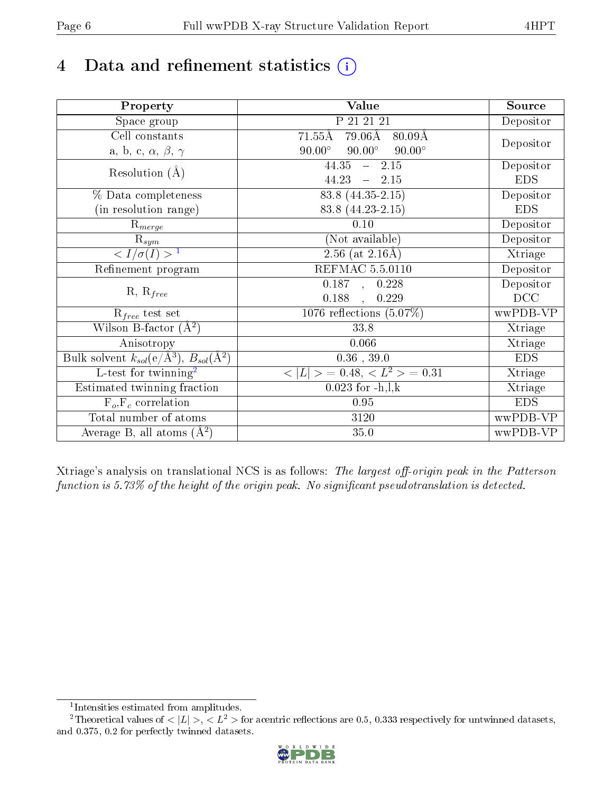# 4 Data and refinement statistics  $(i)$

| Property                                                             | Value                                                       | Source     |
|----------------------------------------------------------------------|-------------------------------------------------------------|------------|
| Space group                                                          | P 21 21 21                                                  | Depositor  |
| Cell constants                                                       | $71.55\text{\AA}$<br>$79.06\text{\AA}$<br>$80.09\text{\AA}$ |            |
| a, b, c, $\alpha$ , $\beta$ , $\gamma$                               | $90.00^\circ$<br>$90.00^\circ$<br>$90.00^\circ$             | Depositor  |
| Resolution $(A)$                                                     | 44.35<br>$-2.15$                                            | Depositor  |
|                                                                      | 44.23<br>$-2.15$                                            | <b>EDS</b> |
| % Data completeness                                                  | 83.8 (44.35-2.15)                                           | Depositor  |
| (in resolution range)                                                | 83.8 (44.23-2.15)                                           | <b>EDS</b> |
| $R_{merge}$                                                          | 0.10                                                        | Depositor  |
| $\mathrm{R}_{sym}$                                                   | (Not available)                                             | Depositor  |
| $\langle I/\sigma(I) \rangle^{-1}$                                   | $\overline{2.56}$ (at 2.16Å)                                | Xtriage    |
| Refinement program                                                   | <b>REFMAC 5.5.0110</b>                                      | Depositor  |
|                                                                      | 0.187, 0.228                                                | Depositor  |
| $R, R_{free}$                                                        | 0.188<br>0.229<br>$\overline{a}$                            | DCC        |
| $R_{free}$ test set                                                  | 1076 reflections $(5.07\%)$                                 | wwPDB-VP   |
| Wilson B-factor $(A^2)$                                              | 33.8                                                        | Xtriage    |
| Anisotropy                                                           | 0.066                                                       | Xtriage    |
| Bulk solvent $k_{sol}(e/\mathring{A}^3)$ , $B_{sol}(\mathring{A}^2)$ | $0.36\,$ , $39.0\,$                                         | <b>EDS</b> |
| $\overline{L-test for}$ twinning <sup>2</sup>                        | $\langle  L  \rangle = 0.48, \langle L^2 \rangle = 0.31$    | Xtriage    |
| Estimated twinning fraction                                          | $0.023$ for $-h, l, k$                                      | Xtriage    |
| $F_o, F_c$ correlation                                               | 0.95                                                        | <b>EDS</b> |
| Total number of atoms                                                | 3120                                                        | wwPDB-VP   |
| Average B, all atoms $(A^2)$                                         | 35.0                                                        | wwPDB-VP   |

Xtriage's analysis on translational NCS is as follows: The largest off-origin peak in the Patterson function is  $5.73\%$  of the height of the origin peak. No significant pseudotranslation is detected.

<sup>&</sup>lt;sup>2</sup>Theoretical values of  $\langle |L| \rangle$ ,  $\langle L^2 \rangle$  for acentric reflections are 0.5, 0.333 respectively for untwinned datasets, and 0.375, 0.2 for perfectly twinned datasets.



<span id="page-5-1"></span><span id="page-5-0"></span><sup>1</sup> Intensities estimated from amplitudes.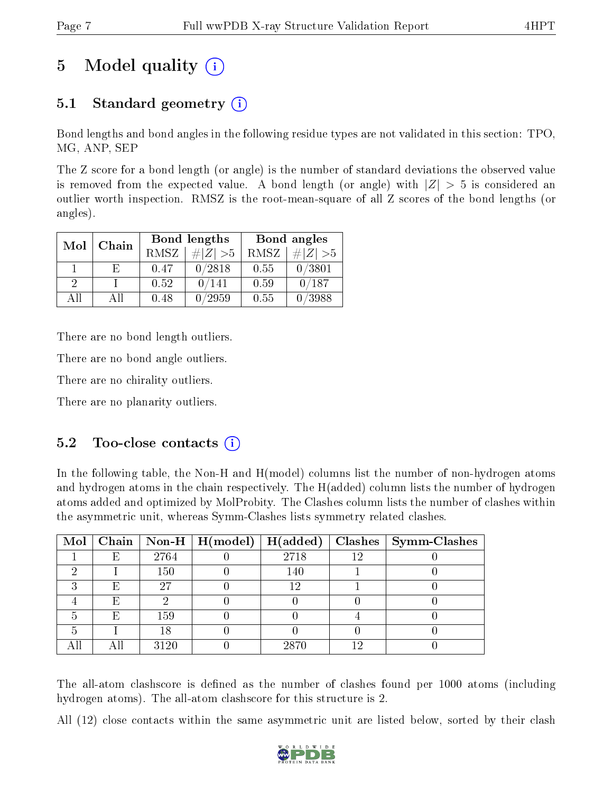# 5 Model quality  $(i)$

## 5.1 Standard geometry (i)

Bond lengths and bond angles in the following residue types are not validated in this section: TPO, MG, ANP, SEP

The Z score for a bond length (or angle) is the number of standard deviations the observed value is removed from the expected value. A bond length (or angle) with  $|Z| > 5$  is considered an outlier worth inspection. RMSZ is the root-mean-square of all Z scores of the bond lengths (or angles).

| Mol<br>Chain  |    |      | Bond lengths | Bond angles |             |  |
|---------------|----|------|--------------|-------------|-------------|--|
|               |    | RMSZ | $\# Z  > 5$  | RMSZ        | $\# Z  > 5$ |  |
|               | E. | 0.47 | 0/2818       | 0.55        | 0/3801      |  |
| $\mathcal{D}$ |    | 0.52 | 0/141        | 0.59        | 0/187       |  |
| ΔH            | АH | 0.48 | /2959        | 0.55        | /3988       |  |

There are no bond length outliers.

There are no bond angle outliers.

There are no chirality outliers.

There are no planarity outliers.

### $5.2$  Too-close contacts  $(i)$

In the following table, the Non-H and H(model) columns list the number of non-hydrogen atoms and hydrogen atoms in the chain respectively. The H(added) column lists the number of hydrogen atoms added and optimized by MolProbity. The Clashes column lists the number of clashes within the asymmetric unit, whereas Symm-Clashes lists symmetry related clashes.

|   |   |      | Mol   Chain   Non-H   H(model)   H(added) |      |     | $\textbf{Class} \mid \textbf{Symm-Class}$ |
|---|---|------|-------------------------------------------|------|-----|-------------------------------------------|
|   | E | 2764 |                                           | 2718 | 12  |                                           |
|   |   | 150  |                                           | 140  |     |                                           |
| ച | E | 27   |                                           | 12   |     |                                           |
|   | E |      |                                           |      |     |                                           |
|   | E | 159  |                                           |      |     |                                           |
|   |   | 18   |                                           |      |     |                                           |
|   |   | 3120 |                                           | 2870 | 1 ና |                                           |

The all-atom clashscore is defined as the number of clashes found per 1000 atoms (including hydrogen atoms). The all-atom clashscore for this structure is 2.

All (12) close contacts within the same asymmetric unit are listed below, sorted by their clash

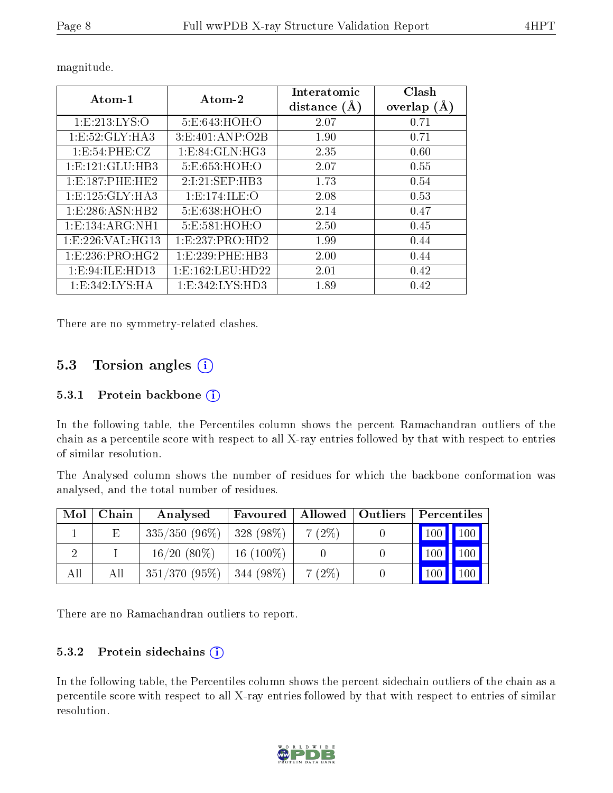| Atom-1              | Atom-2           | Interatomic<br>distance | Clash<br>overlap<br>(A) |
|---------------------|------------------|-------------------------|-------------------------|
| 1:E:213:LYS:O       | 5:E:643:HOH:O    | 2.07                    | 0.71                    |
| 1:E:52:GLY:HA3      | 3:E:401:AND:O2B  | 1.90                    | 0.71                    |
| 1: E:54: PHE: CZ    | 1:E:84:GLN:HG3   | 2.35                    | 0.60                    |
| 1: E: 121: GLU: HB3 | 5:E:653:HOH:O    | 2.07                    | 0.55                    |
| 1:E:187:PHE:HE2     | 2:I:21:SEP:HB3   | 1.73                    | 0.54                    |
| 1: E: 125: GLY: HA3 | 1:E:174:ILE:O    | 2.08                    | 0.53                    |
| 1:E:286:ASN:HB2     | 5:E:638:HOH:O    | 2.14                    | 0.47                    |
| 1: E: 134: ARG: NH1 | 5:E:581:HOH:O    | 2.50                    | 0.45                    |
| 1: E: 226: VAL:HG13 | 1:E:237:PRO:HD2  | 1.99                    | 0.44                    |
| 1:E:236:PRO:HG2     | 1:E:239:PHE:HB3  | 2.00                    | 0.44                    |
| 1:E:94:ILE:HD13     | 1:E:162:LEU:HD22 | 2.01                    | 0.42                    |
| 1: E: 342: LYS: HA  | 1:E:342:LYS:HD3  | 1.89                    | 0.42                    |

magnitude.

There are no symmetry-related clashes.

## 5.3 Torsion angles  $(i)$

#### 5.3.1 Protein backbone (i)

In the following table, the Percentiles column shows the percent Ramachandran outliers of the chain as a percentile score with respect to all X-ray entries followed by that with respect to entries of similar resolution.

The Analysed column shows the number of residues for which the backbone conformation was analysed, and the total number of residues.

| Mol | Chain | Analysed                      | Favoured     | Allowed   Outliers | Percentiles                  |
|-----|-------|-------------------------------|--------------|--------------------|------------------------------|
|     | Ε     | $335/350$ (96\%)   328 (98\%) |              | $7(2\%)$           | $\mid$ 100 $\mid$ 100 $\mid$ |
|     |       | $16/20(80\%)$                 | $16(100\%)$  |                    | 100<br>$ 100\rangle$         |
| All | All   | $351/370(95\%)$               | 344 $(98\%)$ | $7(2\%)$           | $100 \mid$<br>$\sqrt{100}$   |

There are no Ramachandran outliers to report.

#### $5.3.2$  Protein sidechains  $(i)$

In the following table, the Percentiles column shows the percent sidechain outliers of the chain as a percentile score with respect to all X-ray entries followed by that with respect to entries of similar resolution.

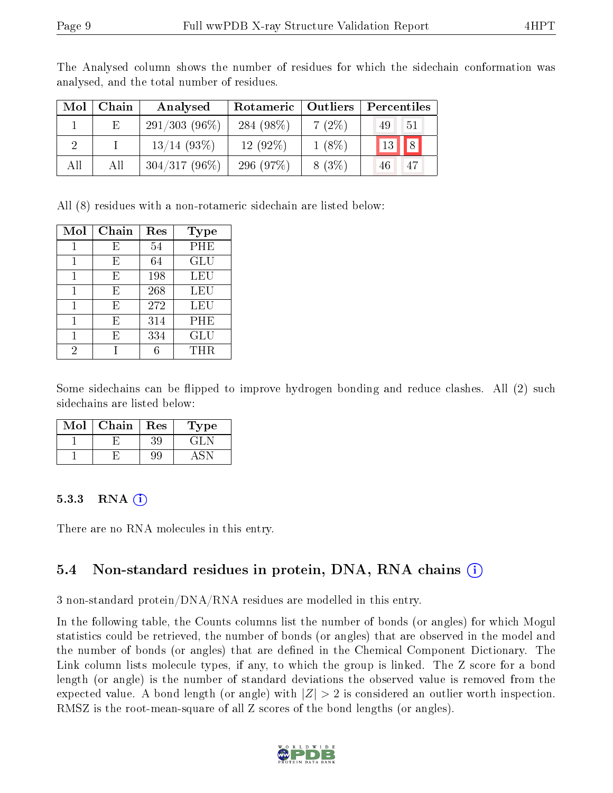| Mol | Chain | Analysed        | Rotameric    | $\mid$ Outliers $\mid$ | Percentiles                      |
|-----|-------|-----------------|--------------|------------------------|----------------------------------|
|     | E.    | $291/303(96\%)$ | 284 $(98\%)$ | 7(2%)                  | 49<br>-51                        |
| 9   |       | $13/14$ (93\%)  | $12(92\%)$   | $1(8\%)$               | $\parallel$ 8<br>13 <sup>°</sup> |
| All | All   | $304/317(96\%)$ | 296(97%)     | 8(3%)                  | -47                              |

The Analysed column shows the number of residues for which the sidechain conformation was analysed, and the total number of residues.

All (8) residues with a non-rotameric sidechain are listed below:

| Mol            | Chain | Res | Type       |
|----------------|-------|-----|------------|
|                | E     | 54  | PHE        |
|                | E     | 64  | GLU        |
|                | E     | 198 | LEU        |
|                | E     | 268 | LEU        |
| 1              | E     | 272 | <b>LEU</b> |
|                | E     | 314 | PHE        |
|                | F,    | 334 | GLU        |
| $\overline{2}$ |       |     | THR.       |

Some sidechains can be flipped to improve hydrogen bonding and reduce clashes. All (2) such sidechains are listed below:

| $\operatorname{Mol}$ | Chain | Res | Type |
|----------------------|-------|-----|------|
|                      |       | 39  | E÷L. |
|                      |       | 99  |      |

#### 5.3.3 RNA  $(i)$

There are no RNA molecules in this entry.

### 5.4 Non-standard residues in protein, DNA, RNA chains (i)

3 non-standard protein/DNA/RNA residues are modelled in this entry.

In the following table, the Counts columns list the number of bonds (or angles) for which Mogul statistics could be retrieved, the number of bonds (or angles) that are observed in the model and the number of bonds (or angles) that are dened in the Chemical Component Dictionary. The Link column lists molecule types, if any, to which the group is linked. The Z score for a bond length (or angle) is the number of standard deviations the observed value is removed from the expected value. A bond length (or angle) with  $|Z| > 2$  is considered an outlier worth inspection. RMSZ is the root-mean-square of all Z scores of the bond lengths (or angles).

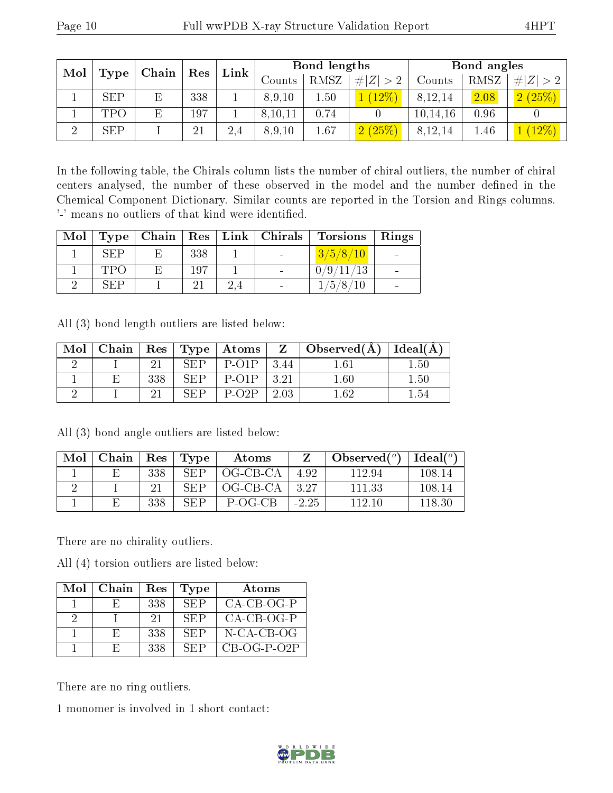| Mol      |            | Chain | Res |      |         | Bond lengths |                        |          | Bond angles |             |
|----------|------------|-------|-----|------|---------|--------------|------------------------|----------|-------------|-------------|
|          | Type       |       |     | Link | Counts  | <b>RMSZ</b>  | H Z                    | Counts   | RMSZ        | # $ Z  > 2$ |
|          | <b>SEP</b> |       | 338 |      | 8,9,10  | 1.50         | 12%                    | 8,12,14  | 2.08        | 2(25%)      |
|          | TPO        |       | 197 |      | 8,10,11 | 0.74         |                        | 10,14,16 | 0.96        |             |
| $\Omega$ | <b>SEP</b> |       | 21  | 2.4  | 8,9,10  | 1.67         | (25%<br>$\overline{2}$ | 8,12,14  | 1.46        | $12\%$      |

In the following table, the Chirals column lists the number of chiral outliers, the number of chiral centers analysed, the number of these observed in the model and the number defined in the Chemical Component Dictionary. Similar counts are reported in the Torsion and Rings columns. '-' means no outliers of that kind were identified.

| Mol |            |     | Type   Chain   Res   Link   Chirals | <b>Torsions</b> | Rings |
|-----|------------|-----|-------------------------------------|-----------------|-------|
|     | <b>SEP</b> | 338 |                                     | 3/5/8/10        |       |
|     | TPO        | 197 |                                     | 0/9/11/13       |       |
|     | SEP        |     | $\overline{\phantom{0}}$            | 1/5/8/10        |       |

All (3) bond length outliers are listed below:

| Mol | Chain | $\,$ Res $^+$ | Type  | $\mid$ Atoms $\mid$     | $Z_{\perp}$ | $\perp$ Observed(A) | Ideal(A) |
|-----|-------|---------------|-------|-------------------------|-------------|---------------------|----------|
|     |       |               | SFD   | $P-O1P$                 | 3.44        | 1 61                | 1.50     |
|     |       | 338           | SEP   | $P-O1P$                 | 3.91        | $1.60\,$            | $1.50\,$ |
|     |       |               | S E D | $P$ -O <sub>2</sub> $P$ | 2.03        | 1 62.               | $1.54\,$ |

All (3) bond angle outliers are listed below:

| Mol | Chain | Res | Type | Atoms    |         | Observed $(^\circ)$ | $Ideal(^o)$ |
|-----|-------|-----|------|----------|---------|---------------------|-------------|
|     |       | 338 | SEP  | OG-CB-CA | 492     | 112.94              | 108-14      |
|     |       |     | SEP  | OG-CB-CA | -3-27   | 111 33              | 108 14      |
|     |       | 338 | SEP  | P-OG-CB  | $-2.25$ | 112 10              | 118 30      |

There are no chirality outliers.

All (4) torsion outliers are listed below:

| Mol | Chain | Res | Type | Atoms         |
|-----|-------|-----|------|---------------|
|     | н,    | 338 | -SEP | $CA-CB-OG-P$  |
| - 2 |       | -21 | SEP  | $CA-CB-OG-P$  |
|     | E,    | 338 | SEP  | N-CA-CB-OG    |
|     | н,    | 338 | SEP  | $CB-OG-P-O2P$ |

There are no ring outliers.

1 monomer is involved in 1 short contact:

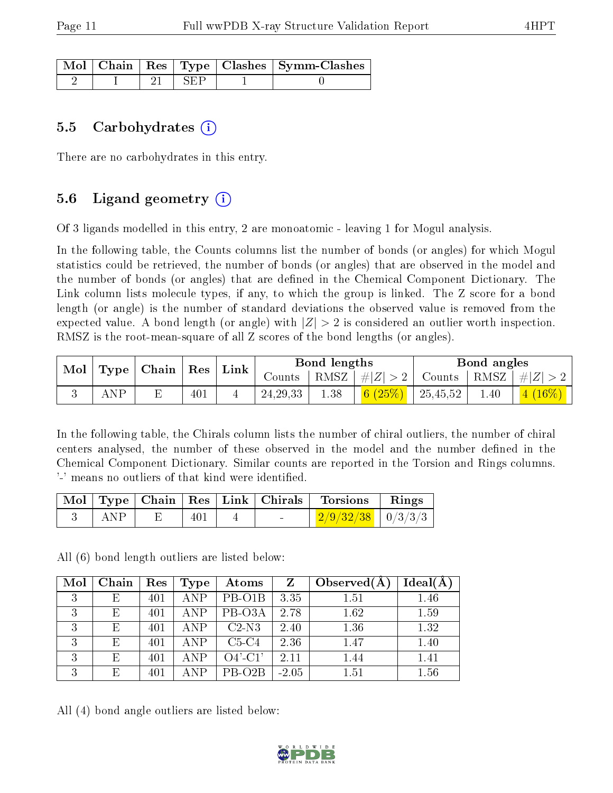|  |       | $\lceil\,\mathrm{Mol}\,\rceil$ Chain   Res   Type   Clashes   Symm-Clashes |
|--|-------|----------------------------------------------------------------------------|
|  | L SEP |                                                                            |

#### 5.5 Carbohydrates  $(i)$

There are no carbohydrates in this entry.

### 5.6 Ligand geometry  $(i)$

Of 3 ligands modelled in this entry, 2 are monoatomic - leaving 1 for Mogul analysis.

In the following table, the Counts columns list the number of bonds (or angles) for which Mogul statistics could be retrieved, the number of bonds (or angles) that are observed in the model and the number of bonds (or angles) that are defined in the Chemical Component Dictionary. The Link column lists molecule types, if any, to which the group is linked. The Z score for a bond length (or angle) is the number of standard deviations the observed value is removed from the expected value. A bond length (or angle) with  $|Z| > 2$  is considered an outlier worth inspection. RMSZ is the root-mean-square of all Z scores of the bond lengths (or angles).

| Mol | Type | $\mid$ Chain $\mid$ | $\operatorname{Res}$ | Link |               | Bond lengths |                    | Bond angles |      |         |
|-----|------|---------------------|----------------------|------|---------------|--------------|--------------------|-------------|------|---------|
|     |      |                     |                      |      | $\frac{1}{2}$ | RMSZ         | $\vert \#  Z  > 2$ | Counts      | RMSZ | $\# Z $ |
|     | AΝP  |                     | 401                  |      | 24, 29, 33    | 1.38         | 6 $(25%)$          | 25,45,52    | 1.40 | $16\%)$ |

In the following table, the Chirals column lists the number of chiral outliers, the number of chiral centers analysed, the number of these observed in the model and the number defined in the Chemical Component Dictionary. Similar counts are reported in the Torsion and Rings columns. '-' means no outliers of that kind were identified.

|     |     |        | Mol   Type   Chain   Res   Link   Chirals   Torsions | $\mathbf{Rings}$ |
|-----|-----|--------|------------------------------------------------------|------------------|
| ANP | 401 | $\sim$ | $\frac{2/9}{32/38}$   0/3/3/3                        |                  |

All (6) bond length outliers are listed below:

| Mol          | Chain | Res | Type       | Atoms               | $Z_{\rm}$ | Observed $(A)$ | Ideal(A) |
|--------------|-------|-----|------------|---------------------|-----------|----------------|----------|
| 3            | E     | 401 | <b>ANP</b> | PB-O1B              | 3.35      | 1.51           | 1.46     |
| 3            | F,    | 401 | <b>ANP</b> | PB-O3A              | 2.78      | 1.62           | 1.59     |
| 3            | F,    | 401 | <b>ANP</b> | $C2-N3$             | 2.40      | 1.36           | 1.32     |
| $\mathbf{Q}$ | E,    | 401 | <b>ANP</b> | $C5-C4$             | 2.36      | 1.47           | 1.40     |
| 3            | F,    | 401 | <b>ANP</b> | $O4'$ -C1'          | 2.11      | 1.44           | 1.41     |
| 3            | E,    | 401 | ANP        | PB-O <sub>2</sub> B | $-2.05$   | 1.51           | 1.56     |

All (4) bond angle outliers are listed below:

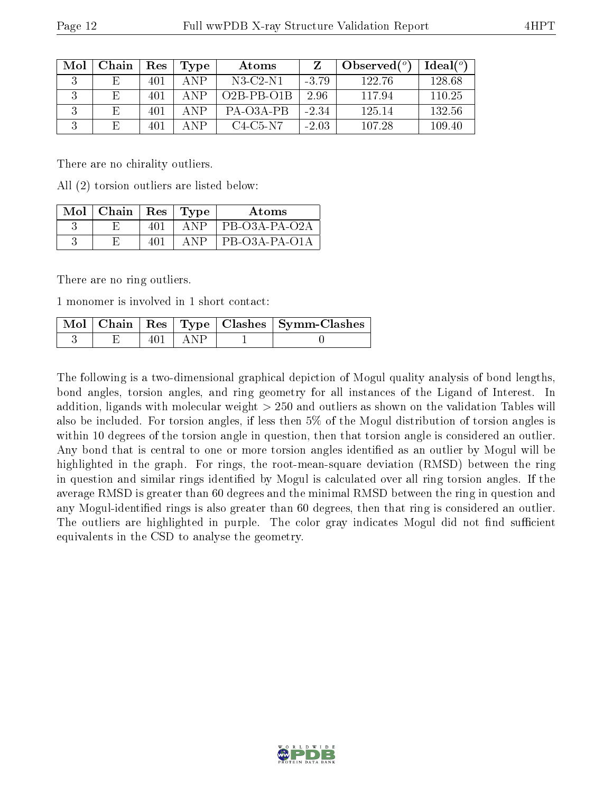| Mol | Chain | Res | Type  | Atoms               |         | Observed $(°)$ | Ideal(°) |
|-----|-------|-----|-------|---------------------|---------|----------------|----------|
|     |       | 401 | A NP  | $N3$ -C2-N1         | $-3.79$ | 122.76         | 128.68   |
|     |       | 401 | A NP  | $O2B-PB-O1B$        | 2.96    | 117.94         | 110.25   |
|     |       | 401 | A NP  | $PA$ - $O3A$ - $PB$ | $-2.34$ | 125 14         | 132.56   |
|     | F     | 401 | A NP. | $C4-C5-N7$          | $-2.03$ | 107.28         | 109.40   |

There are no chirality outliers.

All (2) torsion outliers are listed below:

| Mol | Chain | Res <sup>1</sup> | 'Type    | Atoms         |
|-----|-------|------------------|----------|---------------|
|     |       |                  | А        | PB-O3A-PA-O2A |
|     |       |                  | $\Delta$ | PB-O3A-PA-O1A |

There are no ring outliers.

1 monomer is involved in 1 short contact:

|  |             | Mol   Chain   Res   Type   Clashes   Symm-Clashes |
|--|-------------|---------------------------------------------------|
|  | $401$   ANP |                                                   |

The following is a two-dimensional graphical depiction of Mogul quality analysis of bond lengths, bond angles, torsion angles, and ring geometry for all instances of the Ligand of Interest. In addition, ligands with molecular weight > 250 and outliers as shown on the validation Tables will also be included. For torsion angles, if less then 5% of the Mogul distribution of torsion angles is within 10 degrees of the torsion angle in question, then that torsion angle is considered an outlier. Any bond that is central to one or more torsion angles identified as an outlier by Mogul will be highlighted in the graph. For rings, the root-mean-square deviation (RMSD) between the ring in question and similar rings identified by Mogul is calculated over all ring torsion angles. If the average RMSD is greater than 60 degrees and the minimal RMSD between the ring in question and any Mogul-identified rings is also greater than 60 degrees, then that ring is considered an outlier. The outliers are highlighted in purple. The color gray indicates Mogul did not find sufficient equivalents in the CSD to analyse the geometry.

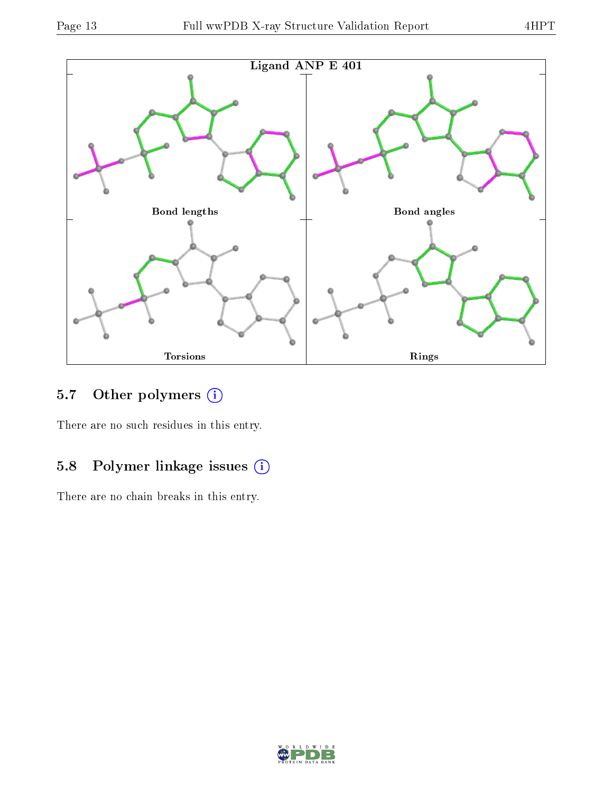

## 5.7 [O](https://www.wwpdb.org/validation/2017/XrayValidationReportHelp#nonstandard_residues_and_ligands)ther polymers (i)

There are no such residues in this entry.

## 5.8 Polymer linkage issues (i)

There are no chain breaks in this entry.

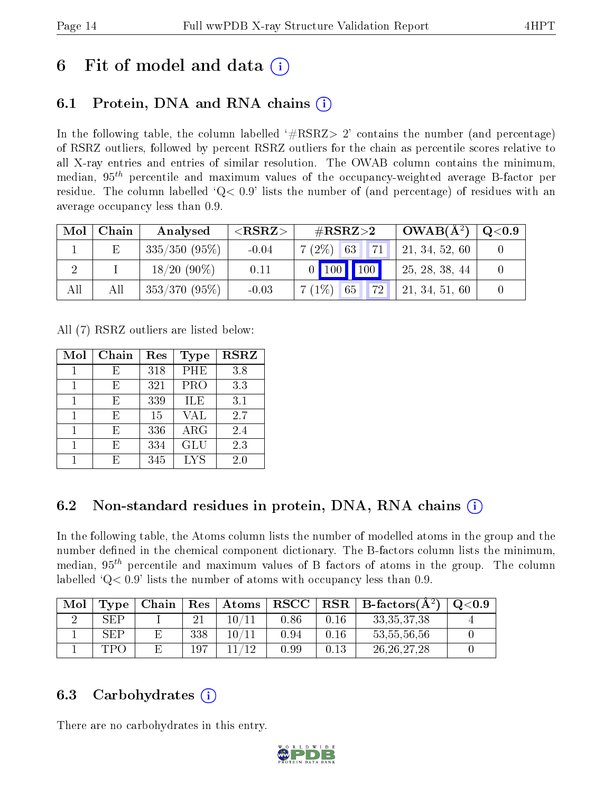## 6 Fit of model and data  $\left( \cdot \right)$

## 6.1 Protein, DNA and RNA chains (i)

In the following table, the column labelled  $#RSRZ>2'$  contains the number (and percentage) of RSRZ outliers, followed by percent RSRZ outliers for the chain as percentile scores relative to all X-ray entries and entries of similar resolution. The OWAB column contains the minimum, median,  $95<sup>th</sup>$  percentile and maximum values of the occupancy-weighted average B-factor per residue. The column labelled ' $Q< 0.9$ ' lists the number of (and percentage) of residues with an average occupancy less than 0.9.

| Mol | Chain | Analysed        | ${ <\hspace{-1.5pt}{\mathrm{RSRZ}} \hspace{-1.5pt}>}$ | $\#\text{RSRZ}\text{>2}$    | $OWAB(A^2)$    | $\rm Q\textcolor{black}{<}0.9$ |
|-----|-------|-----------------|-------------------------------------------------------|-----------------------------|----------------|--------------------------------|
|     |       | $335/350(95\%)$ | $-0.04$                                               | 71<br>$7(2\%)$ 63           | 21, 34, 52, 60 |                                |
|     |       | $18/20(90\%)$   | 0.11                                                  | $0$ 100 100                 | 25, 28, 38, 44 |                                |
| All | All   | $353/370(95\%)$ | $-0.03$                                               | $7(1\%)$<br><b>72</b><br>65 | 21, 34, 51, 60 |                                |

All (7) RSRZ outliers are listed below:

| Mol | ${\rm Chain}$ | Res | Type       | <b>RSRZ</b> |
|-----|---------------|-----|------------|-------------|
|     | F,            | 318 | PHE        | 3.8         |
| 1   | E             | 321 | PRO        | 3.3         |
|     | E             | 339 | <b>ILE</b> | 3.1         |
| 1   | F,            | 15  | <b>VAL</b> | 2.7         |
| 1   | F,            | 336 | ARG        | 2.4         |
|     | F)            | 334 | <b>GLU</b> | 2.3         |
|     |               | 345 | <b>LYS</b> | 2.0         |

## 6.2 Non-standard residues in protein, DNA, RNA chains  $(i)$

In the following table, the Atoms column lists the number of modelled atoms in the group and the number defined in the chemical component dictionary. The B-factors column lists the minimum, median,  $95<sup>th</sup>$  percentile and maximum values of B factors of atoms in the group. The column labelled  $Q< 0.9$ ' lists the number of atoms with occupancy less than 0.9.

| Mol | $\Gamma$ ype | Chain | Res | Atoms | $_{\rm RSCC}$ | $_{\rm RSR}$ | $\perp$ B-factors( $\rm \AA^2$ ) | Q <sub>0.9</sub> |
|-----|--------------|-------|-----|-------|---------------|--------------|----------------------------------|------------------|
|     | SEP          |       |     | 10/   | $0.86\,$      | 0.16         | 33, 35, 37, 38                   |                  |
|     | <b>SEP</b>   |       | 338 | 10/   | $0.94\,$      | 0.16         | 53, 55, 56, 56                   |                  |
|     | TPA          |       | 197 | 1 ດ   | 9.99          | 0.13         | 26, 26, 27, 28                   |                  |

### 6.3 Carbohydrates (i)

There are no carbohydrates in this entry.